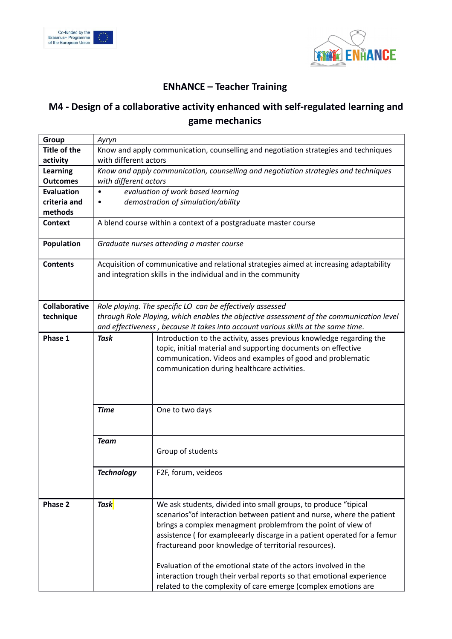



## **ENhANCE – Teacher Training**

## **M4 - Design of a collaborative activity enhanced with self-regulated learning and game mechanics**

| Group                | Ayryn                                                                                   |                                                                         |  |
|----------------------|-----------------------------------------------------------------------------------------|-------------------------------------------------------------------------|--|
| <b>Title of the</b>  | Know and apply communication, counselling and negotiation strategies and techniques     |                                                                         |  |
| activity             | with different actors                                                                   |                                                                         |  |
| <b>Learning</b>      | Know and apply communication, counselling and negotiation strategies and techniques     |                                                                         |  |
| <b>Outcomes</b>      | with different actors                                                                   |                                                                         |  |
| <b>Evaluation</b>    | evaluation of work based learning<br>$\bullet$                                          |                                                                         |  |
| criteria and         | demostration of simulation/ability<br>٠                                                 |                                                                         |  |
| methods              |                                                                                         |                                                                         |  |
| <b>Context</b>       | A blend course within a context of a postgraduate master course                         |                                                                         |  |
| <b>Population</b>    | Graduate nurses attending a master course                                               |                                                                         |  |
| <b>Contents</b>      | Acquisition of communicative and relational strategies aimed at increasing adaptability |                                                                         |  |
|                      | and integration skills in the individual and in the community                           |                                                                         |  |
|                      |                                                                                         |                                                                         |  |
|                      |                                                                                         |                                                                         |  |
| <b>Collaborative</b> | Role playing. The specific LO can be effectively assessed                               |                                                                         |  |
| technique            | through Role Playing, which enables the objective assessment of the communication level |                                                                         |  |
|                      | and effectiveness, because it takes into account various skills at the same time.       |                                                                         |  |
| Phase 1              | <b>Task</b>                                                                             | Introduction to the activity, asses previous knowledge regarding the    |  |
|                      |                                                                                         | topic, initial material and supporting documents on effective           |  |
|                      |                                                                                         | communication. Videos and examples of good and problematic              |  |
|                      |                                                                                         | communication during healthcare activities.                             |  |
|                      |                                                                                         |                                                                         |  |
|                      |                                                                                         |                                                                         |  |
|                      | <b>Time</b>                                                                             | One to two days                                                         |  |
|                      |                                                                                         |                                                                         |  |
|                      |                                                                                         |                                                                         |  |
|                      | <b>Team</b>                                                                             |                                                                         |  |
|                      |                                                                                         | Group of students                                                       |  |
|                      |                                                                                         |                                                                         |  |
|                      | <b>Technology</b>                                                                       | F2F, forum, veideos                                                     |  |
|                      |                                                                                         |                                                                         |  |
|                      |                                                                                         |                                                                         |  |
| Phase 2              | Task                                                                                    | We ask students, divided into small groups, to produce "tipical         |  |
|                      |                                                                                         | scenarios" of interaction between patient and nurse, where the patient  |  |
|                      |                                                                                         | brings a complex menagment problemfrom the point of view of             |  |
|                      |                                                                                         | assistence (for exampleearly discarge in a patient operated for a femur |  |
|                      |                                                                                         | fractureand poor knowledge of territorial resources).                   |  |
|                      |                                                                                         |                                                                         |  |
|                      |                                                                                         | Evaluation of the emotional state of the actors involved in the         |  |
|                      |                                                                                         | interaction trough their verbal reports so that emotional experience    |  |
|                      |                                                                                         | related to the complexity of care emerge (complex emotions are          |  |